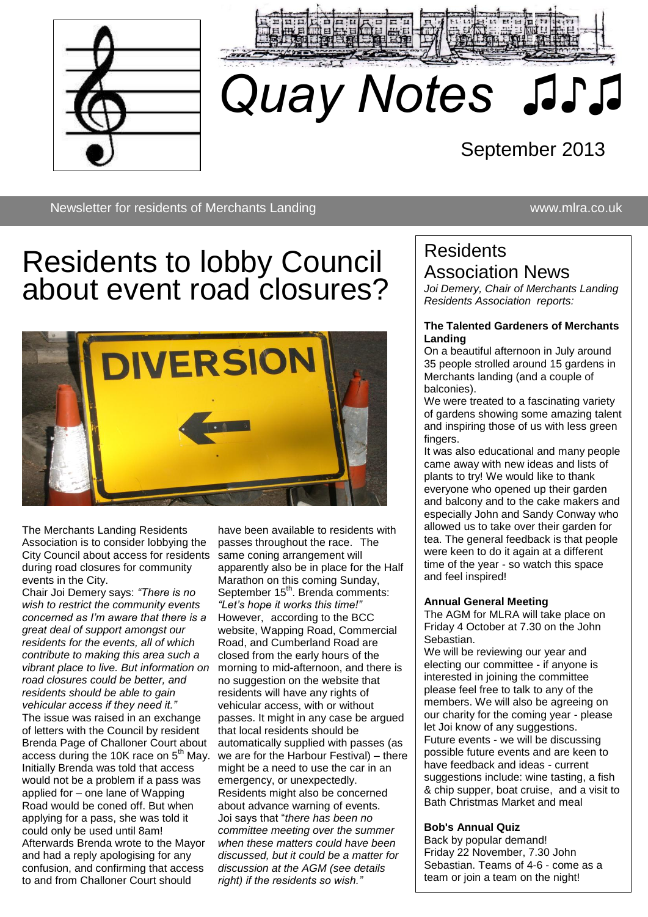



# *Quay Notes ♫♪♫*

# September 2013

Newsletter for residents of Merchants Landing www.mlra.co.uk

# Residents to lobby Council about event road closures?

♫♫



The Merchants Landing Residents Association is to consider lobbying the City Council about access for residents during road closures for community events in the City.

Chair Joi Demery says: *"There is no wish to restrict the community events concerned as I'm aware that there is a great deal of support amongst our residents for the events, all of which contribute to making this area such a vibrant place to live. But information on road closures could be better, and residents should be able to gain vehicular access if they need it."* The issue was raised in an exchange of letters with the Council by resident Brenda Page of Challoner Court about access during the 10K race on  $5<sup>th</sup>$  May. Initially Brenda was told that access would not be a problem if a pass was applied for – one lane of Wapping Road would be coned off. But when applying for a pass, she was told it could only be used until 8am! Afterwards Brenda wrote to the Mayor and had a reply apologising for any confusion, and confirming that access to and from Challoner Court should

have been available to residents with passes throughout the race. The same coning arrangement will apparently also be in place for the Half Marathon on this coming Sunday, September 15<sup>th</sup>. Brenda comments: *"Let's hope it works this time!"* However, according to the BCC website, Wapping Road, Commercial Road, and Cumberland Road are closed from the early hours of the morning to mid-afternoon, and there is no suggestion on the website that residents will have any rights of vehicular access, with or without passes. It might in any case be argued that local residents should be automatically supplied with passes (as we are for the Harbour Festival) – there might be a need to use the car in an emergency, or unexpectedly. Residents might also be concerned about advance warning of events. Joi says that "*there has been no committee meeting over the summer when these matters could have been discussed, but it could be a matter for discussion at the AGM (see details right) if the residents so wish."*

### **Residents** Association News

*Joi Demery, Chair of Merchants Landing Residents Association reports:*

#### **The Talented Gardeners of Merchants Landing**

On a beautiful afternoon in July around 35 people strolled around 15 gardens in Merchants landing (and a couple of balconies).

We were treated to a fascinating variety of gardens showing some amazing talent and inspiring those of us with less green fingers.

It was also educational and many people came away with new ideas and lists of plants to try! We would like to thank everyone who opened up their garden and balcony and to the cake makers and especially John and Sandy Conway who allowed us to take over their garden for tea. The general feedback is that people were keen to do it again at a different time of the year - so watch this space and feel inspired!

#### **Annual General Meeting**

The AGM for MLRA will take place on Friday 4 October at 7.30 on the John Sebastian.

We will be reviewing our year and electing our committee - if anyone is interested in joining the committee please feel free to talk to any of the members. We will also be agreeing on our charity for the coming year - please let Joi know of any suggestions. Future events - we will be discussing possible future events and are keen to have feedback and ideas - current suggestions include: wine tasting, a fish & chip supper, boat cruise, and a visit to Bath Christmas Market and meal

#### **Bob's Annual Quiz**

Back by popular demand! Friday 22 November, 7.30 John Sebastian. Teams of 4-6 - come as a team or join a team on the night!